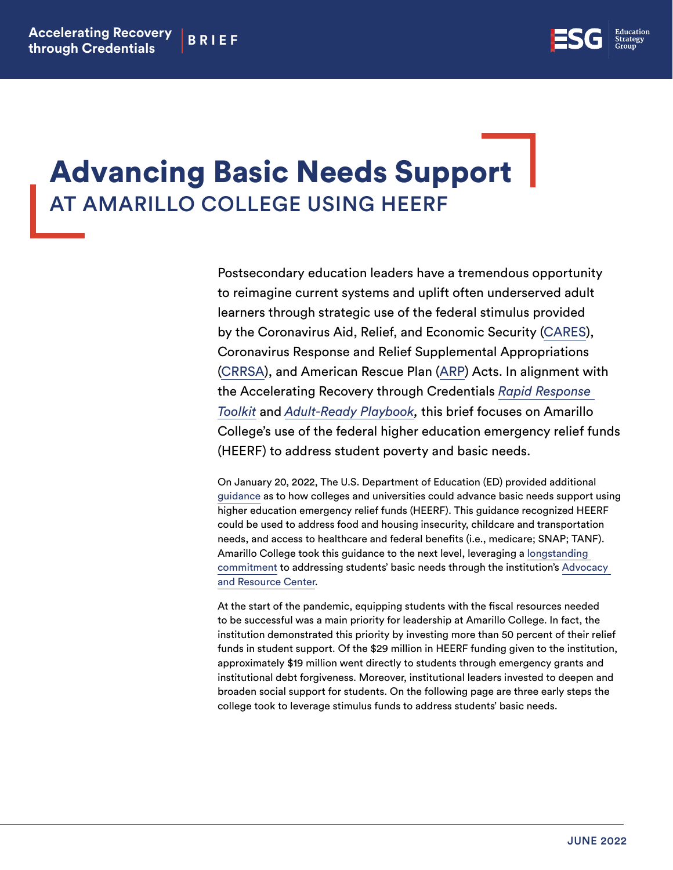

## Advancing Basic Needs Support AT AMARILLO COLLEGE USING HEERF

Postsecondary education leaders have a tremendous opportunity to reimagine current systems and uplift often underserved adult learners through strategic use of the federal stimulus provided by the Coronavirus Aid, Relief, and Economic Security [\(CARES](https://www2.ed.gov/about/offices/list/ope/caresact.html)), Coronavirus Response and Relief Supplemental Appropriations [\(CRRSA\)](https://www2.ed.gov/about/offices/list/ope/crrsaa.html), and American Rescue Plan [\(ARP](https://www2.ed.gov/about/offices/list/ope/arp.html)) Acts. In alignment with the Accelerating Recovery through Credentials *[Rapid Response](https://edstrategy.org/wp-content/uploads/2021/03/ARC_Rapid_Response_Toolkit_FINAL.pdf)  [Toolkit](https://edstrategy.org/wp-content/uploads/2021/03/ARC_Rapid_Response_Toolkit_FINAL.pdf)* and *[Adult-Ready Playbook](https://docs.google.com/document/d/1y2sP7xRT0TNW8YwhJMsN-lipkgx14bO8/edit),* this brief focuses on Amarillo College's use of the federal higher education emergency relief funds (HEERF) to address student poverty and basic needs.

On January 20, 2022, The U.S. Department of Education (ED) provided additional [guidance](https://www2.ed.gov/about/offices/list/ope/heerf-support-basic-needs-final.pdf) as to how colleges and universities could advance basic needs support using higher education emergency relief funds (HEERF). This guidance recognized HEERF could be used to address food and housing insecurity, childcare and transportation needs, and access to healthcare and federal benefits (i.e., medicare; SNAP; TANF). Amarillo College took this guidance to the next level, leveraging a [longstanding](https://www.actx.edu/arc/poverty-initiative)  [commitment](https://www.actx.edu/arc/poverty-initiative) to addressing students' basic needs through the institution's [Advocacy](https://www.actx.edu/arc/)  [and Resource Center.](https://www.actx.edu/arc/)

At the start of the pandemic, equipping students with the fiscal resources needed to be successful was a main priority for leadership at Amarillo College. In fact, the institution demonstrated this priority by investing more than 50 percent of their relief funds in student support. Of the \$29 million in HEERF funding given to the institution, approximately \$19 million went directly to students through emergency grants and institutional debt forgiveness. Moreover, institutional leaders invested to deepen and broaden social support for students. On the following page are three early steps the college took to leverage stimulus funds to address students' basic needs.